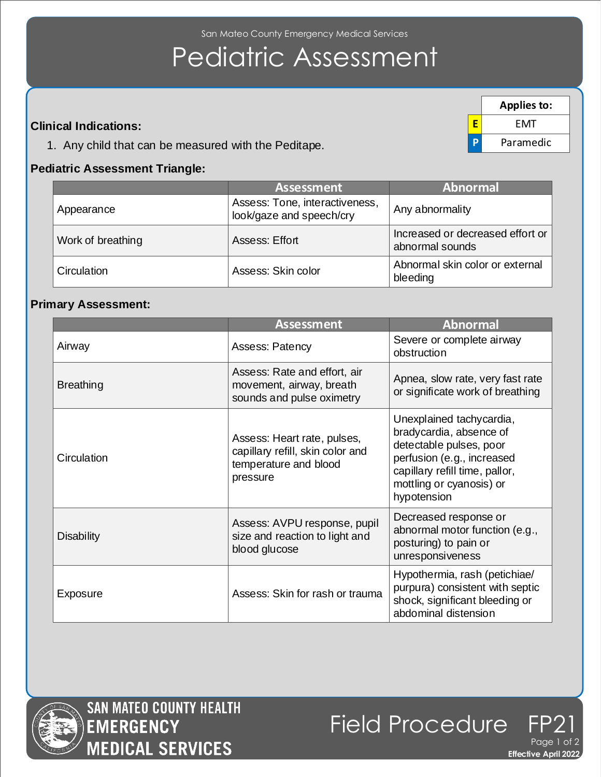San Mateo County Emergency Medical Services

# Pediatric Assessment

### **Clinical Indications:**

1. Any child that can be measured with the Peditape.

#### **Pediatric Assessment Triangle:**

|                   | <b>Assessment</b>                                          | <b>Abnormal</b>                                     |  |
|-------------------|------------------------------------------------------------|-----------------------------------------------------|--|
| Appearance        | Assess: Tone, interactiveness,<br>look/gaze and speech/cry | Any abnormality                                     |  |
| Work of breathing | Assess: Effort                                             | Increased or decreased effort or<br>abnormal sounds |  |
| Circulation       | Assess: Skin color                                         | Abnormal skin color or external<br>bleeding         |  |

#### **Primary Assessment:**

|                   | <b>Assessment</b>                                                                                    | <b>Abnormal</b>                                                                                                                                                                           |  |  |
|-------------------|------------------------------------------------------------------------------------------------------|-------------------------------------------------------------------------------------------------------------------------------------------------------------------------------------------|--|--|
| Airway            | <b>Assess: Patency</b>                                                                               | Severe or complete airway<br>obstruction                                                                                                                                                  |  |  |
| <b>Breathing</b>  | Assess: Rate and effort, air<br>movement, airway, breath<br>sounds and pulse oximetry                | Apnea, slow rate, very fast rate<br>or significate work of breathing                                                                                                                      |  |  |
| Circulation       | Assess: Heart rate, pulses,<br>capillary refill, skin color and<br>temperature and blood<br>pressure | Unexplained tachycardia,<br>bradycardia, absence of<br>detectable pulses, poor<br>perfusion (e.g., increased<br>capillary refill time, pallor,<br>mottling or cyanosis) or<br>hypotension |  |  |
| <b>Disability</b> | Assess: AVPU response, pupil<br>size and reaction to light and<br>blood glucose                      | Decreased response or<br>abnormal motor function (e.g.,<br>posturing) to pain or<br>unresponsiveness                                                                                      |  |  |
| Exposure          | Assess: Skin for rash or trauma                                                                      | Hypothermia, rash (petichiae/<br>purpura) consistent with septic<br>shock, significant bleeding or<br>abdominal distension                                                                |  |  |





**Effective April 2022** 

**E** EMT **P** Paramedic

**Applies to:**